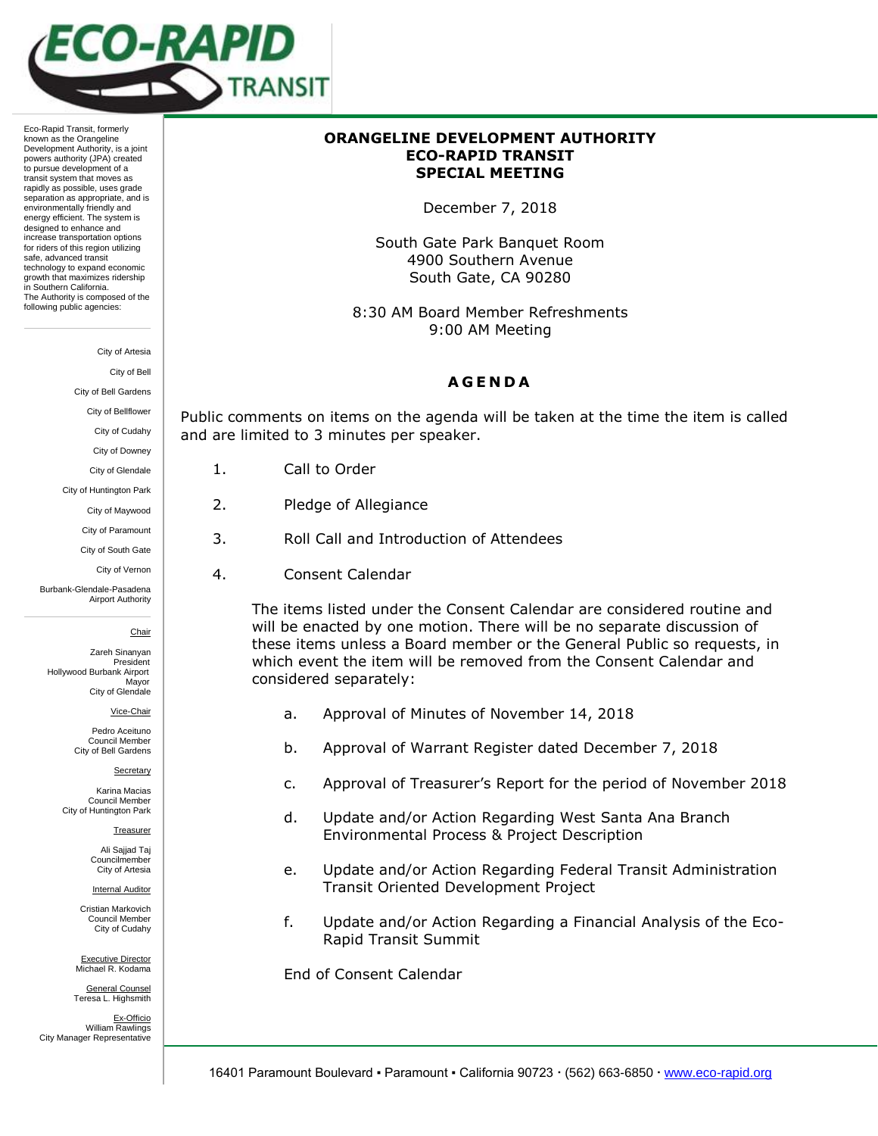

Eco-Rapid Transit, formerly known as the Orangeline Development Authority, is a joint powers authority (JPA) created to pursue development of a transit system that moves as rapidly as possible, uses grade separation as appropriate, and is environmentally friendly and energy efficient. The system is designed to enhance and increase transportation options for riders of this region utilizing safe, advanced transit technology to expand economic growth that maximizes ridership in Southern California. The Authority is composed of the following public agencies:

City of Artesia

City of Bell

City of Bell Gardens

City of Bellflower

City of Cudahy

City of Downey City of Glendale

City of Huntington Park City of Maywood City of Paramount City of South Gate City of Vernon

Burbank-Glendale-Pasadena Airport Authority

Hollywood Burbank Airport

Chair Zareh Sinanyan President

 Mayor City of Glendale Vice-Chair Pedro Aceituno Council Member City of Bell Gardens

Secretary Karina Macias Council Member City of Huntington Park

> Treasurer Ali Sajjad Taj Councilmember City of Artesia Internal Auditor Cristian Markovich Council Member City of Cudahy

- 1. Call to Order
- 2. Pledge of Allegiance
- 3. Roll Call and Introduction of Attendees
	- 4. Consent Calendar

The items listed under the Consent Calendar are considered routine and will be enacted by one motion. There will be no separate discussion of these items unless a Board member or the General Public so requests, in which event the item will be removed from the Consent Calendar and considered separately:

- 
- b. Approval of Warrant Register dated December 7, 2018
- c. Approval of Treasurer's Report for the period of November 2018
- d. Update and/or Action Regarding West Santa Ana Branch Environmental Process & Project Description
- e. Update and/or Action Regarding Federal Transit Administration Transit Oriented Development Project
- f. Update and/or Action Regarding a Financial Analysis of the Eco-Rapid Transit Summit

End of Consent Calendar

Executive Director Michael R. Kodama General Counsel Teresa L. Highsmith

Ex-Officio William Rawlings City Manager Representative

## **ORANGELINE DEVELOPMENT AUTHORITY ECO-RAPID TRANSIT SPECIAL MEETING**

December 7, 2018

South Gate Park Banquet Room 4900 Southern Avenue South Gate, CA 90280

8:30 AM Board Member Refreshments 9:00 AM Meeting

## **A G E N D A**

Public comments on items on the agenda will be taken at the time the item is called and are limited to 3 minutes per speaker.

- 
- 
- 
- 

a. Approval of Minutes of November 14, 2018